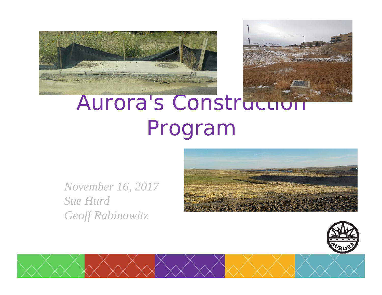



# Aurora's Construction Program

*November 16, 2017 Sue HurdGeoff Rabinowitz*



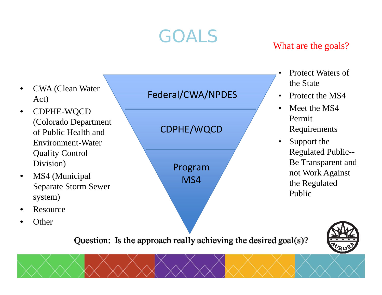### GOALS

#### What are the goals?

- • CWA (Clean Water Act)
- • CDPHE-WQCD (Colorado Department of Public Health and Environment-Water Quality Control Division)
- • MS4 (Municipal Separate Storm Sewer system)
- •Resource
- •**Other**

#### Federal/CWA/NPDES

CDPHE/WQCD

Program MS4

- • Protect Waters of the State
- $\bullet$ Protect the MS4
- $\bullet$  Meet the MS4 Permit Requirements
- $\bullet$  Support the Regulated Public-- Be Transparent and not Work Against the Regulated Public

Question: Is the approach really achieving the desired goal(s)?

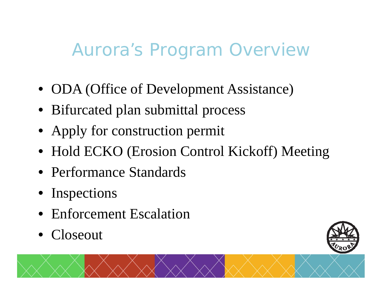#### Aurora's Program Overview

- ODA (Office of Development Assistance)
- Bifurcated plan submittal process
- Apply for construction permit
- Hold ECKO (Erosion Control Kickoff) Meeting
- Performance Standards
- Inspections
- Enforcement Escalation
- •Closeout

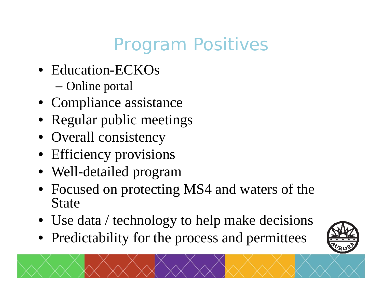## Program Positives

- Education-ECKOs
	- Online portal
- Compliance assistance
- Regular public meetings
- Overall consistency
- Efficiency provisions
- Well-detailed program
- Focused on protecting MS4 and waters of the State
- Use data / technology to help make decisions
- Predictability for the process and permittees

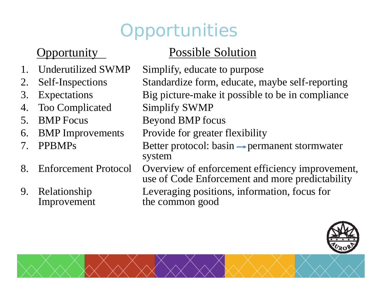## **Opportunities**

- 
- 
- 
- 4. Too Complicated Simplify SWMP
- 
- 
- 
- 
- 

#### Opportunity Possible Solution

- 1. Underutilized SWMP Simplify, educate to purpose 2. Self-Inspections Standardize form, educate, maybe self-reporting
- 3. Expectations Big picture-make it possible to be in compliance
	-
- 5. BMP Focus Beyond BMP focus
- 6. BMP Improvements Provide for greater flexibility
- 7. PPBMPs Better protocol: basin  $\rightarrow$  permanent stormwater system
- 8. Enforcement Protocol Overview of enforcement efficiency improvement, use of Code Enforcement and more predictability

9. Relationship Leveraging positions, information, focus for Improvement the common good the common good



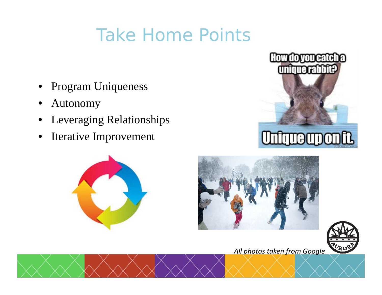#### Take Home Points

- •Program Uniqueness
- •Autonomy
- •Leveraging Relationships
- $\bullet$ Iterative Improvement









*All photos taken from Google*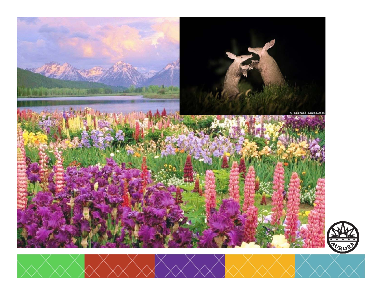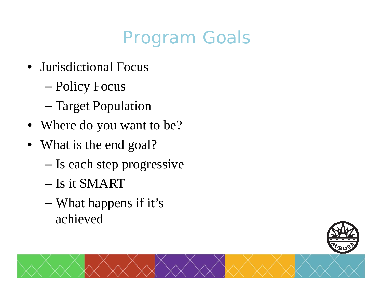## Program Goals

- Jurisdictional Focus
	- Policy Focus
	- –Target Population
- Where do you want to be?
- What is the end goal?
	- Is each step progressive
	- Is it SMART
	- – What happens if it's achieved